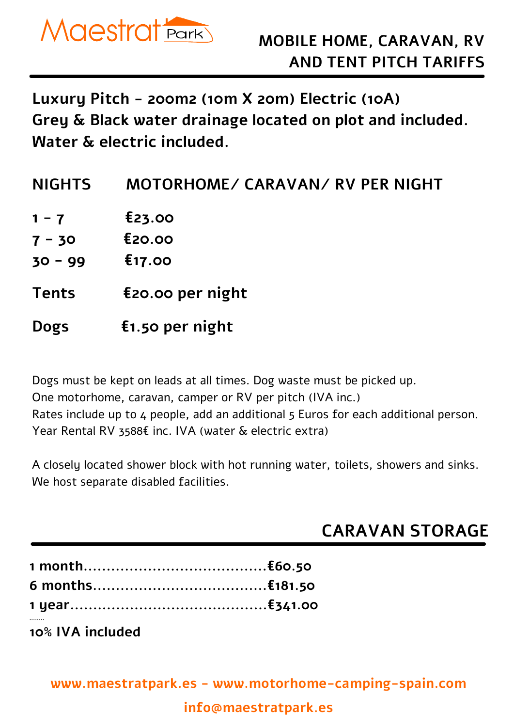

**Luxury Pitch - 200m2 (10m X 20m) Electric (10A) Grey & Black water drainage located on plot and included. Water & electric included.**

| <b>NIGHTS</b> | MOTORHOME/ CARAVAN/ RV PER NIGHT |
|---------------|----------------------------------|
| $1 - 7$       | E23.00                           |
| $7 - 30$      | E20.00                           |
| $30 - 99$     | £17.00                           |
| <b>Tents</b>  | $E20.00$ per night               |
| <b>Dogs</b>   | $f1.50$ per night                |

Dogs must be kept on leads at all times. Dog waste must be picked up. One motorhome, caravan, camper or RV per pitch (IVA inc.)

Rates include up to 4 people, add an additional 5 Euros for each additional person. Year Rental RV 3588€ inc. IVA (water & electric extra)

A closely located shower block with hot running water, toilets, showers and sinks. We host separate disabled facilities.

## **CARAVAN STORAGE**

**10% IVA included**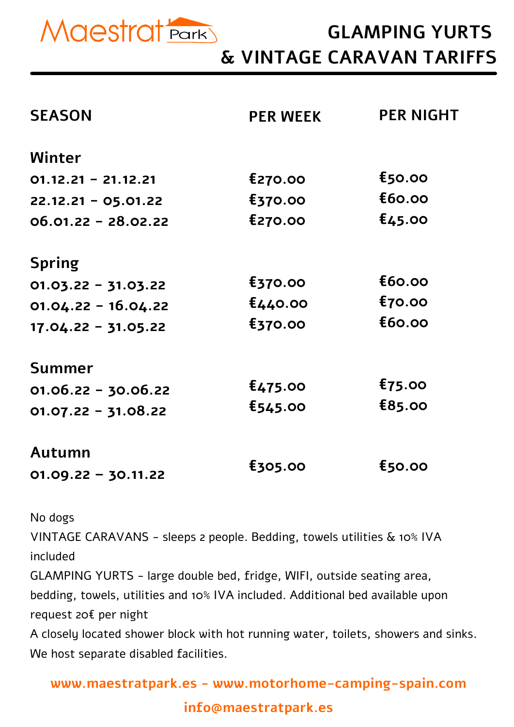

## **GLAMPING YURTS & VINTAGE CARAVAN TARIFFS**

| <b>SEASON</b>         | <b>PER WEEK</b> | <b>PER NIGHT</b>   |
|-----------------------|-----------------|--------------------|
| Winter                |                 |                    |
| $01.12.21 - 21.12.21$ | £270.00         | $E$ 50.00          |
| $22.12.21 - 05.01.22$ | £370.00         | £60.00             |
| $06.01.22 - 28.02.22$ | £270.00         | E <sub>45.00</sub> |
| <b>Spring</b>         |                 |                    |
| $01.03.22 - 31.03.22$ | £370.00         | E60.00             |
| $01.04.22 - 16.04.22$ | £440.00         | $E$ 70.00          |
| $17.04.22 - 31.05.22$ | £370.00         | £60.00             |
| <b>Summer</b>         |                 |                    |
| $01.06.22 - 30.06.22$ | £475.00         | $E$ 75.00          |
| $01.07.22 - 31.08.22$ | £545.00         | E85.00             |
| Autumn                |                 |                    |
| $01.09.22 - 30.11.22$ | <b>£305.00</b>  | <b>£50.00</b>      |

No dogs

VINTAGE CARAVANS - sleeps 2 people. Bedding, towels utilities & 10% IVA included

GLAMPING YURTS - large double bed, fridge, WIFI, outside seating area, bedding, towels, utilities and 10% IVA included. Additional bed available upon request 20€ per night

A closely located shower block with hot running water, toilets, showers and sinks. We host separate disabled facilities.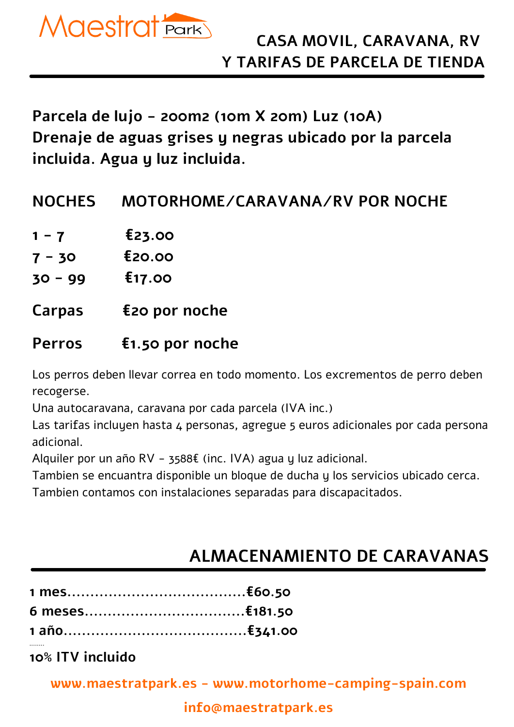

**Parcela de lujo - 200m2 (10m X 20m) Luz (10A) Drenaje de aguas grises y negras ubicado por la parcela incluida. Agua y luz incluida.**

### **NOCHES MOTORHOME/CARAVANA/RV POR NOCHE**

- **1 - 7 €23.00**
- **7 - 30 €20.00**
- **30 - 99 €17.00**
- **Carpas €20 por noche**

### **Perros €1.50 por noche**

Los perros deben llevar correa en todo momento. Los excrementos de perro deben recogerse.

Una autocaravana, caravana por cada parcela (IVA inc.)

Las tarifas incluyen hasta 4 personas, agregue 5 euros adicionales por cada persona adicional.

Alquiler por un año RV - 3588€ (inc. IVA) agua y luz adicional.

Tambien se encuantra disponible un bloque de ducha y los servicios ubicado cerca.

Tambien contamos con instalaciones separadas para discapacitados.

## **ALMACENAMIENTO DE CARAVANAS**

**10% ITV incluido**

**........**

**www.maestratpark.es - www.motorhome-camping-spain.com**

### **info@maestratpark.es**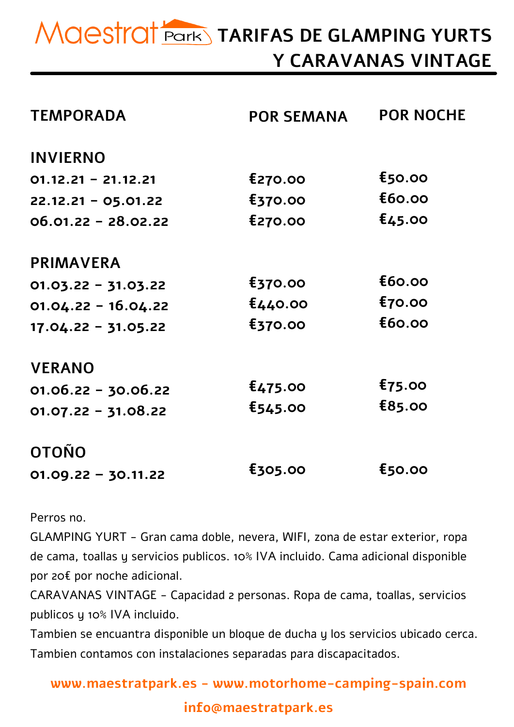# **TARIFAS DE GLAMPING YURTS Y CARAVANAS VINTAGE**

| <b>TEMPORADA</b>      | <b>POR SEMANA</b> | <b>POR NOCHE</b> |
|-----------------------|-------------------|------------------|
| <b>INVIERNO</b>       |                   |                  |
| $01.12.21 - 21.12.21$ | £270.00           | <b>£50.00</b>    |
| $22.12.21 - 05.01.22$ | £370.00           | E60.00           |
| $06.01.22 - 28.02.22$ | £270.00           | £45.00           |
| <b>PRIMAVERA</b>      |                   |                  |
| $01.03.22 - 31.03.22$ | £370.00           | E60.00           |
| $01.04.22 - 16.04.22$ | £440.00           | <b>£70.00</b>    |
| $17.04.22 - 31.05.22$ | £370.00           | E60.00           |
| <b>VERANO</b>         |                   |                  |
| $01.06.22 - 30.06.22$ | E475.00           | $E$ 75.00        |
| $01.07.22 - 31.08.22$ | £545.00           | <b>£85.00</b>    |
| <b>OTOÑO</b>          |                   |                  |
| $01.09.22 - 30.11.22$ | £305.00           | $E$ 50.00        |

Perros no.

GLAMPING YURT - Gran cama doble, nevera, WIFI, zona de estar exterior, ropa de cama, toallas y servicios publicos. 10% IVA incluido. Cama adicional disponible por 20€ por noche adicional.

CARAVANAS VINTAGE - Capacidad 2 personas. Ropa de cama, toallas, servicios publicos y 10% IVA incluido.

Tambien se encuantra disponible un bloque de ducha y los servicios ubicado cerca. Tambien contamos con instalaciones separadas para discapacitados.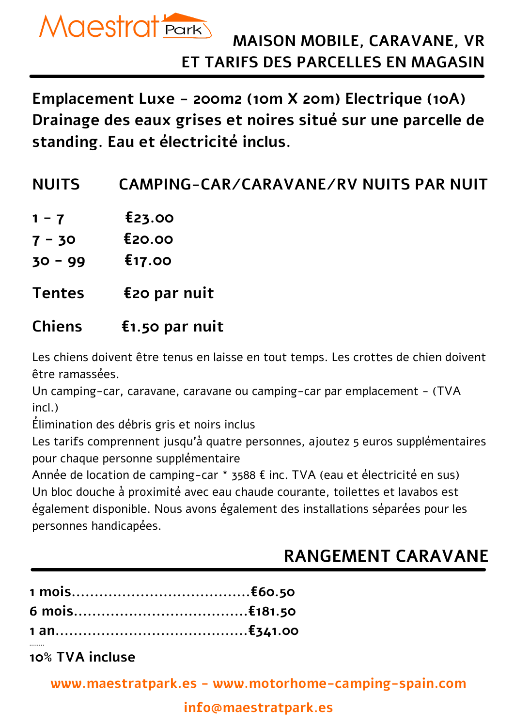

**Emplacement Luxe - 200m2 (10m X 20m) Electrique (10A) Drainage des eaux grises et noires situé sur une parcelle de standing. Eau et électricité inclus.**

| <b>NUITS</b><br>CAMPING-CAR/CARAVANE/RV NUITS PAR NUIT |  |
|--------------------------------------------------------|--|
|--------------------------------------------------------|--|

- **1 7 £23.00**
- **7 - 30 €20.00**
- **30 - 99 €17.00**
- **Tentes €20 par nuit**

### **Chiens €1.50 par nuit**

Les chiens doivent être tenus en laisse en tout temps. Les crottes de chien doivent être ramassées.

Un camping-car, caravane, caravane ou camping-car par emplacement - (TVA incl.)

Élimination des débris gris et noirs inclus

Les tarifs comprennent jusqu'à quatre personnes, ajoutez 5 euros supplémentaires pour chaque personne supplémentaire

Année de location de camping-car \* 3588 € inc. TVA (eau et électricité en sus) Un bloc douche à proximité avec eau chaude courante, toilettes et lavabos est également disponible. Nous avons également des installations séparées pour les personnes handicapées.

## **RANGEMENT CARAVANE**

**10% TVA incluse**

**........**

**www.maestratpark.es - www.motorhome-camping-spain.com**

#### **info@maestratpark.es**